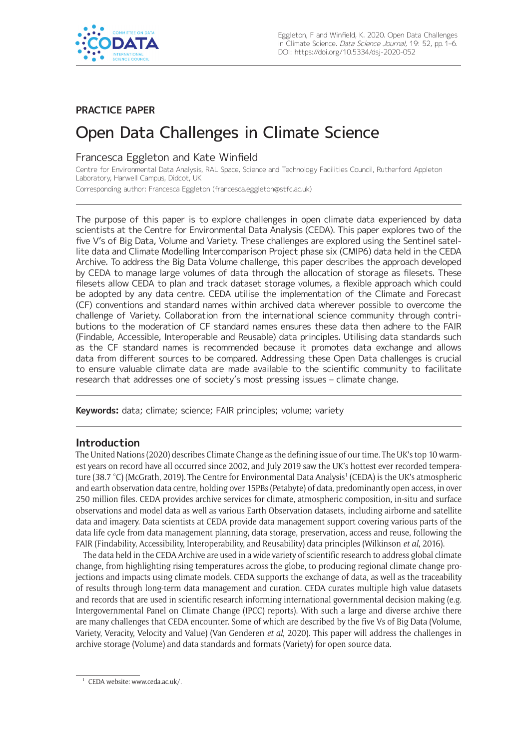

## **PRACTICE PAPER**

# Open Data Challenges in Climate Science

## Francesca Eggleton and Kate Winfield

Centre for Environmental Data Analysis, RAL Space, Science and Technology Facilities Council, Rutherford Appleton Laboratory, Harwell Campus, Didcot, UK

Corresponding author: Francesca Eggleton [\(francesca.eggleton@stfc.ac.uk](mailto:francesca.eggleton@stfc.ac.uk))

The purpose of this paper is to explore challenges in open climate data experienced by data scientists at the Centre for Environmental Data Analysis (CEDA). This paper explores two of the five V's of Big Data, Volume and Variety. These challenges are explored using the Sentinel satellite data and Climate Modelling Intercomparison Project phase six (CMIP6) data held in the CEDA Archive. To address the Big Data Volume challenge, this paper describes the approach developed by CEDA to manage large volumes of data through the allocation of storage as filesets. These filesets allow CEDA to plan and track dataset storage volumes, a flexible approach which could be adopted by any data centre. CEDA utilise the implementation of the Climate and Forecast (CF) conventions and standard names within archived data wherever possible to overcome the challenge of Variety. Collaboration from the international science community through contributions to the moderation of CF standard names ensures these data then adhere to the FAIR (Findable, Accessible, Interoperable and Reusable) data principles. Utilising data standards such as the CF standard names is recommended because it promotes data exchange and allows data from different sources to be compared. Addressing these Open Data challenges is crucial to ensure valuable climate data are made available to the scientific community to facilitate research that addresses one of society's most pressing issues – climate change.

**Keywords:** data; climate; science; FAIR principles; volume; variety

## **Introduction**

The United Nations (2020) describes Climate Change as the defining issue of our time. The UK's top 10 warmest years on record have all occurred since 2002, and July 2019 saw the UK's hottest ever recorded temperature (38.7 °C) (McGrath, 2019). The Centre for Environmental Data Analysis<sup>1</sup> (CEDA) is the UK's atmospheric and earth observation data centre, holding over 15PBs (Petabyte) of data, predominantly open access, in over 250 million files. CEDA provides archive services for climate, atmospheric composition, in-situ and surface observations and model data as well as various Earth Observation datasets, including airborne and satellite data and imagery. Data scientists at CEDA provide data management support covering various parts of the data life cycle from data management planning, data storage, preservation, access and reuse, following the FAIR (Findability, Accessibility, Interoperability, and Reusability) data principles (Wilkinson *et al*, 2016).

The data held in the CEDA Archive are used in a wide variety of scientific research to address global climate change, from highlighting rising temperatures across the globe, to producing regional climate change projections and impacts using climate models. CEDA supports the exchange of data, as well as the traceability of results through long-term data management and curation. CEDA curates multiple high value datasets and records that are used in scientific research informing international governmental decision making (e.g. Intergovernmental Panel on Climate Change (IPCC) reports). With such a large and diverse archive there are many challenges that CEDA encounter. Some of which are described by the five Vs of Big Data (Volume, Variety, Veracity, Velocity and Value) (Van Genderen *et al*, 2020). This paper will address the challenges in archive storage (Volume) and data standards and formats (Variety) for open source data.

CEDA website: [www.ceda.ac.uk/.](www.ceda.ac.uk/)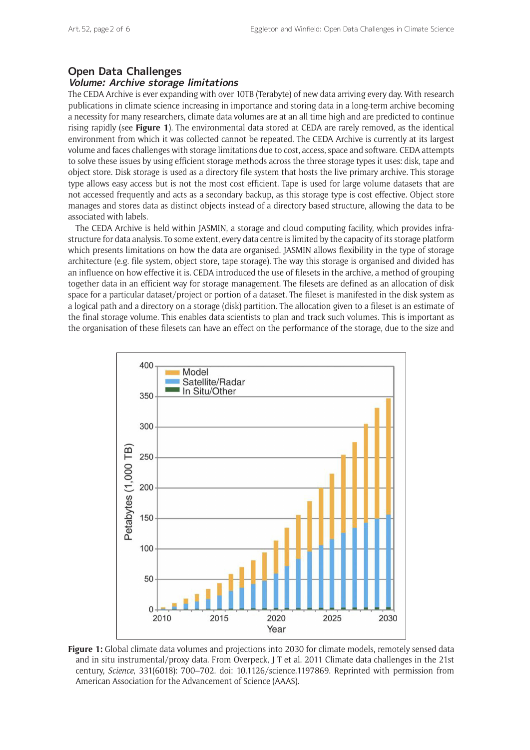# **Open Data Challenges**

## **Volume: Archive storage limitations**

The CEDA Archive is ever expanding with over 10TB (Terabyte) of new data arriving every day. With research publications in climate science increasing in importance and storing data in a long-term archive becoming a necessity for many researchers, climate data volumes are at an all time high and are predicted to continue rising rapidly (see **Figure 1**). The environmental data stored at CEDA are rarely removed, as the identical environment from which it was collected cannot be repeated. The CEDA Archive is currently at its largest volume and faces challenges with storage limitations due to cost, access, space and software. CEDA attempts to solve these issues by using efficient storage methods across the three storage types it uses: disk, tape and object store. Disk storage is used as a directory file system that hosts the live primary archive. This storage type allows easy access but is not the most cost efficient. Tape is used for large volume datasets that are not accessed frequently and acts as a secondary backup, as this storage type is cost effective. Object store manages and stores data as distinct objects instead of a directory based structure, allowing the data to be associated with labels.

The CEDA Archive is held within JASMIN, a storage and cloud computing facility, which provides infrastructure for data analysis. To some extent, every data centre is limited by the capacity of its storage platform which presents limitations on how the data are organised. JASMIN allows flexibility in the type of storage architecture (e.g. file system, object store, tape storage). The way this storage is organised and divided has an influence on how effective it is. CEDA introduced the use of filesets in the archive, a method of grouping together data in an efficient way for storage management. The filesets are defined as an allocation of disk space for a particular dataset/project or portion of a dataset. The fileset is manifested in the disk system as a logical path and a directory on a storage (disk) partition. The allocation given to a fileset is an estimate of the final storage volume. This enables data scientists to plan and track such volumes. This is important as the organisation of these filesets can have an effect on the performance of the storage, due to the size and



**Figure 1:** Global climate data volumes and projections into 2030 for climate models, remotely sensed data and in situ instrumental/proxy data. From Overpeck, J T et al. 2011 Climate data challenges in the 21st century, *Science*, 331(6018): 700–702. doi: [10.1126/science.1197869.](https://doi.org/10.1126/science.1197869) Reprinted with permission from American Association for the Advancement of Science (AAAS).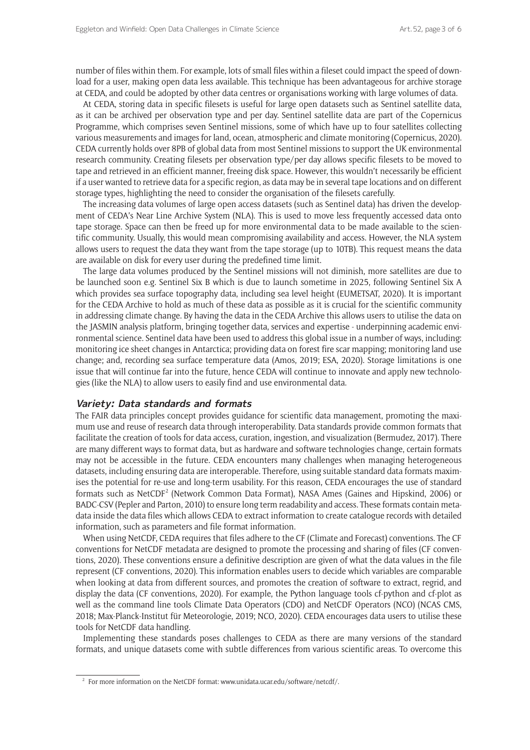number of files within them. For example, lots of small files within a fileset could impact the speed of download for a user, making open data less available. This technique has been advantageous for archive storage at CEDA, and could be adopted by other data centres or organisations working with large volumes of data.

At CEDA, storing data in specific filesets is useful for large open datasets such as Sentinel satellite data, as it can be archived per observation type and per day. Sentinel satellite data are part of the Copernicus Programme, which comprises seven Sentinel missions, some of which have up to four satellites collecting various measurements and images for land, ocean, atmospheric and climate monitoring (Copernicus, 2020). CEDA currently holds over 8PB of global data from most Sentinel missions to support the UK environmental research community. Creating filesets per observation type/per day allows specific filesets to be moved to tape and retrieved in an efficient manner, freeing disk space. However, this wouldn't necessarily be efficient if a user wanted to retrieve data for a specific region, as data may be in several tape locations and on different storage types, highlighting the need to consider the organisation of the filesets carefully.

The increasing data volumes of large open access datasets (such as Sentinel data) has driven the development of CEDA's Near Line Archive System (NLA). This is used to move less frequently accessed data onto tape storage. Space can then be freed up for more environmental data to be made available to the scientific community. Usually, this would mean compromising availability and access. However, the NLA system allows users to request the data they want from the tape storage (up to 10TB). This request means the data are available on disk for every user during the predefined time limit.

The large data volumes produced by the Sentinel missions will not diminish, more satellites are due to be launched soon e.g. Sentinel Six B which is due to launch sometime in 2025, following Sentinel Six A which provides sea surface topography data, including sea level height (EUMETSAT, 2020). It is important for the CEDA Archive to hold as much of these data as possible as it is crucial for the scientific community in addressing climate change. By having the data in the CEDA Archive this allows users to utilise the data on the JASMIN analysis platform, bringing together data, services and expertise - underpinning academic environmental science. Sentinel data have been used to address this global issue in a number of ways, including: monitoring ice sheet changes in Antarctica; providing data on forest fire scar mapping; monitoring land use change; and, recording sea surface temperature data (Amos, 2019; ESA, 2020). Storage limitations is one issue that will continue far into the future, hence CEDA will continue to innovate and apply new technologies (like the NLA) to allow users to easily find and use environmental data.

#### **Variety: Data standards and formats**

The FAIR data principles concept provides guidance for scientific data management, promoting the maximum use and reuse of research data through interoperability. Data standards provide common formats that facilitate the creation of tools for data access, curation, ingestion, and visualization (Bermudez, 2017). There are many different ways to format data, but as hardware and software technologies change, certain formats may not be accessible in the future. CEDA encounters many challenges when managing heterogeneous datasets, including ensuring data are interoperable. Therefore, using suitable standard data formats maximises the potential for re-use and long-term usability. For this reason, CEDA encourages the use of standard formats such as NetCDF<sup>2</sup> (Network Common Data Format), NASA Ames (Gaines and Hipskind, 2006) or BADC-CSV (Pepler and Parton, 2010) to ensure long term readability and access. These formats contain metadata inside the data files which allows CEDA to extract information to create catalogue records with detailed information, such as parameters and file format information.

When using NetCDF, CEDA requires that files adhere to the CF (Climate and Forecast) conventions. The CF conventions for NetCDF metadata are designed to promote the processing and sharing of files (CF conventions, 2020). These conventions ensure a definitive description are given of what the data values in the file represent (CF conventions, 2020). This information enables users to decide which variables are comparable when looking at data from different sources, and promotes the creation of software to extract, regrid, and display the data (CF conventions, 2020). For example, the Python language tools cf-python and cf-plot as well as the command line tools Climate Data Operators (CDO) and NetCDF Operators (NCO) (NCAS CMS, 2018; Max-Planck-Institut für Meteorologie, 2019; NCO, 2020). CEDA encourages data users to utilise these tools for NetCDF data handling.

Implementing these standards poses challenges to CEDA as there are many versions of the standard formats, and unique datasets come with subtle differences from various scientific areas. To overcome this

<sup>&</sup>lt;sup>2</sup> For more information on the NetCDF format: [www.unidata.ucar.edu/software/netcdf/.](www.unidata.ucar.edu/software/netcdf/)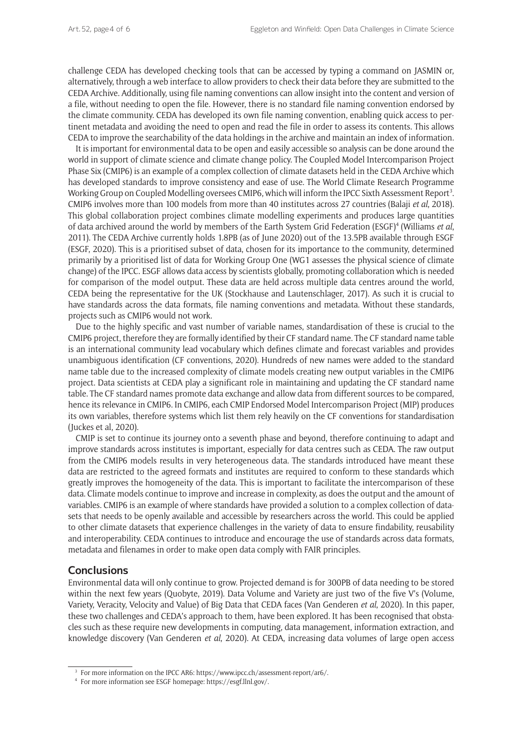challenge CEDA has developed checking tools that can be accessed by typing a command on JASMIN or, alternatively, through a web interface to allow providers to check their data before they are submitted to the CEDA Archive. Additionally, using file naming conventions can allow insight into the content and version of a file, without needing to open the file. However, there is no standard file naming convention endorsed by the climate community. CEDA has developed its own file naming convention, enabling quick access to pertinent metadata and avoiding the need to open and read the file in order to assess its contents. This allows CEDA to improve the searchability of the data holdings in the archive and maintain an index of information.

It is important for environmental data to be open and easily accessible so analysis can be done around the world in support of climate science and climate change policy. The Coupled Model Intercomparison Project Phase Six (CMIP6) is an example of a complex collection of climate datasets held in the CEDA Archive which has developed standards to improve consistency and ease of use. The World Climate Research Programme Working Group on Coupled Modelling oversees CMIP6, which will inform the IPCC Sixth Assessment Report<sup>3</sup>. CMIP6 involves more than 100 models from more than 40 institutes across 27 countries (Balaji *et al*, 2018). This global collaboration project combines climate modelling experiments and produces large quantities of data archived around the world by members of the Earth System Grid Federation (ESGF)4 (Williams *et al*, 2011). The CEDA Archive currently holds 1.8PB (as of June 2020) out of the 13.5PB available through ESGF (ESGF, 2020). This is a prioritised subset of data, chosen for its importance to the community, determined primarily by a prioritised list of data for Working Group One (WG1 assesses the physical science of climate change) of the IPCC. ESGF allows data access by scientists globally, promoting collaboration which is needed for comparison of the model output. These data are held across multiple data centres around the world, CEDA being the representative for the UK (Stockhause and Lautenschlager, 2017). As such it is crucial to have standards across the data formats, file naming conventions and metadata. Without these standards, projects such as CMIP6 would not work.

Due to the highly specific and vast number of variable names, standardisation of these is crucial to the CMIP6 project, therefore they are formally identified by their CF standard name. The CF standard name table is an international community lead vocabulary which defines climate and forecast variables and provides unambiguous identification (CF conventions, 2020). Hundreds of new names were added to the standard name table due to the increased complexity of climate models creating new output variables in the CMIP6 project. Data scientists at CEDA play a significant role in maintaining and updating the CF standard name table. The CF standard names promote data exchange and allow data from different sources to be compared, hence its relevance in CMIP6. In CMIP6, each CMIP Endorsed Model Intercomparison Project (MIP) produces its own variables, therefore systems which list them rely heavily on the CF conventions for standardisation (Juckes et al, 2020).

CMIP is set to continue its journey onto a seventh phase and beyond, therefore continuing to adapt and improve standards across institutes is important, especially for data centres such as CEDA. The raw output from the CMIP6 models results in very heterogeneous data. The standards introduced have meant these data are restricted to the agreed formats and institutes are required to conform to these standards which greatly improves the homogeneity of the data. This is important to facilitate the intercomparison of these data. Climate models continue to improve and increase in complexity, as does the output and the amount of variables. CMIP6 is an example of where standards have provided a solution to a complex collection of datasets that needs to be openly available and accessible by researchers across the world. This could be applied to other climate datasets that experience challenges in the variety of data to ensure findability, reusability and interoperability. CEDA continues to introduce and encourage the use of standards across data formats, metadata and filenames in order to make open data comply with FAIR principles.

## **Conclusions**

Environmental data will only continue to grow. Projected demand is for 300PB of data needing to be stored within the next few years (Quobyte, 2019). Data Volume and Variety are just two of the five V's (Volume, Variety, Veracity, Velocity and Value) of Big Data that CEDA faces (Van Genderen *et al*, 2020). In this paper, these two challenges and CEDA's approach to them, have been explored. It has been recognised that obstacles such as these require new developments in computing, data management, information extraction, and knowledge discovery (Van Genderen *et al*, 2020). At CEDA, increasing data volumes of large open access

<sup>&</sup>lt;sup>3</sup> For more information on the IPCC AR6: <https://www.ipcc.ch/assessment-report/ar6/>.

<sup>4</sup> For more information see ESGF homepage: [https://esgf.llnl.gov/.](https://esgf.llnl.gov/)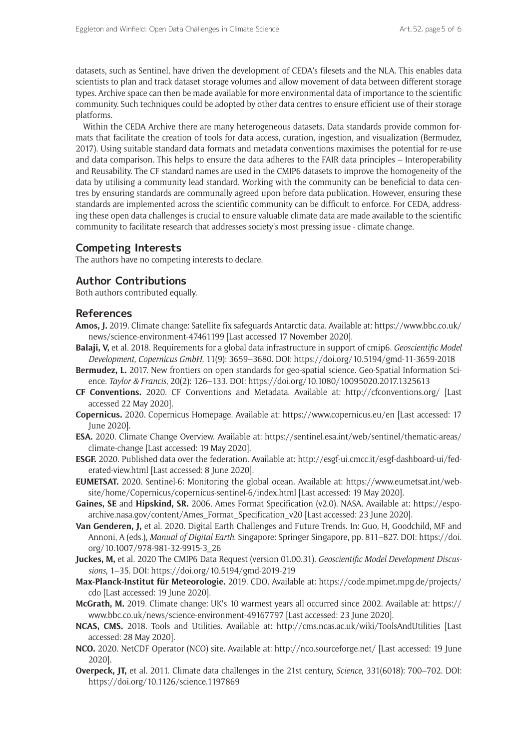datasets, such as Sentinel, have driven the development of CEDA's filesets and the NLA. This enables data scientists to plan and track dataset storage volumes and allow movement of data between different storage types. Archive space can then be made available for more environmental data of importance to the scientific community. Such techniques could be adopted by other data centres to ensure efficient use of their storage platforms.

Within the CEDA Archive there are many heterogeneous datasets. Data standards provide common formats that facilitate the creation of tools for data access, curation, ingestion, and visualization (Bermudez, 2017). Using suitable standard data formats and metadata conventions maximises the potential for re-use and data comparison. This helps to ensure the data adheres to the FAIR data principles – Interoperability and Reusability. The CF standard names are used in the CMIP6 datasets to improve the homogeneity of the data by utilising a community lead standard. Working with the community can be beneficial to data centres by ensuring standards are communally agreed upon before data publication. However, ensuring these standards are implemented across the scientific community can be difficult to enforce. For CEDA, addressing these open data challenges is crucial to ensure valuable climate data are made available to the scientific community to facilitate research that addresses society's most pressing issue - climate change.

## **Competing Interests**

The authors have no competing interests to declare.

## **Author Contributions**

Both authors contributed equally.

### **References**

- **Amos, J.** 2019. Climate change: Satellite fix safeguards Antarctic data. Available at: [https://www.bbc.co.uk/](https://www.bbc.co.uk/news/science-environment-47461199) [news/science-environment-47461199](https://www.bbc.co.uk/news/science-environment-47461199) [Last accessed 17 November 2020].
- **Balaji, V,** et al. 2018. Requirements for a global data infrastructure in support of cmip6. *Geoscientific Model Development, Copernicus GmbH*, 11(9): 3659–3680. DOI:<https://doi.org/10.5194/gmd-11-3659-2018>
- **Bermudez, L.** 2017. New frontiers on open standards for geo-spatial science. Geo-Spatial Information Science. *Taylor & Francis*, 20(2): 126–133. DOI: <https://doi.org/10.1080/10095020.2017.1325613>
- **CF Conventions.** 2020. CF Conventions and Metadata. Available at: <http://cfconventions.org/> [Last accessed 22 May 2020].
- **Copernicus.** 2020. Copernicus Homepage. Available at: <https://www.copernicus.eu/en>[Last accessed: 17 June 2020].
- **ESA.** 2020. Climate Change Overview. Available at: [https://sentinel.esa.int/web/sentinel/thematic-areas/](https://sentinel.esa.int/web/sentinel/thematic-areas/climate-change) [climate-change](https://sentinel.esa.int/web/sentinel/thematic-areas/climate-change) [Last accessed: 19 May 2020].
- **ESGF.** 2020. Published data over the federation. Available at: [http://esgf-ui.cmcc.it/esgf-dashboard-ui/fed](http://esgf-ui.cmcc.it/esgf-dashboard-ui/federated-view.html )[erated-view.html](http://esgf-ui.cmcc.it/esgf-dashboard-ui/federated-view.html ) [Last accessed: 8 June 2020].
- **EUMETSAT.** 2020. Sentinel-6: Monitoring the global ocean. Available at: [https://www.eumetsat.int/web](https://www.eumetsat.int/website/home/Copernicus/copernicus-sentinel-6/index.html)[site/home/Copernicus/copernicus-sentinel-6/index.html](https://www.eumetsat.int/website/home/Copernicus/copernicus-sentinel-6/index.html) [Last accessed: 19 May 2020].
- **Gaines, SE** and **Hipskind, SR.** 2006. Ames Format Specification (v2.0). NASA. Available at: [https://espo](https://espoarchive.nasa.gov/content/Ames_Format_Specification_v20)[archive.nasa.gov/content/Ames\\_Format\\_Specification\\_v20](https://espoarchive.nasa.gov/content/Ames_Format_Specification_v20) [Last accessed: 23 June 2020].
- **Van Genderen, J,** et al. 2020. Digital Earth Challenges and Future Trends. In: Guo, H, Goodchild, MF and Annoni, A (eds.), *Manual of Digital Earth*. Singapore: Springer Singapore, pp. 811–827. DOI: [https://doi.](https://doi.org/10.1007/978-981-32-9915-3_26) [org/10.1007/978-981-32-9915-3\\_26](https://doi.org/10.1007/978-981-32-9915-3_26)
- **Juckes, M,** et al. 2020 The CMIP6 Data Request (version 01.00.31). *Geoscientific Model Development Discussions*, 1–35. DOI: <https://doi.org/10.5194/gmd-2019-219>
- **Max-Planck-Institut für Meteorologie.** 2019. CDO. Available at: [https://code.mpimet.mpg.de/projects/](https://code.mpimet.mpg.de/projects/cdo) [cdo](https://code.mpimet.mpg.de/projects/cdo) [Last accessed: 19 June 2020].
- **McGrath, M.** 2019. Climate change: UK's 10 warmest years all occurred since 2002. Available at: [https://](https://www.bbc.co.uk/news/science-environment-49167797) [www.bbc.co.uk/news/science-environment-49167797](https://www.bbc.co.uk/news/science-environment-49167797) [Last accessed: 23 June 2020].
- **NCAS, CMS.** 2018. Tools and Utilities. Available at: <http://cms.ncas.ac.uk/wiki/ToolsAndUtilities>[Last accessed: 28 May 2020].
- **NCO.** 2020. NetCDF Operator (NCO) site. Available at: <http://nco.sourceforge.net/> [Last accessed: 19 June 2020].
- **Overpeck, JT,** et al. 2011. Climate data challenges in the 21st century, *Science*, 331(6018): 700–702. DOI: <https://doi.org/10.1126/science.1197869>